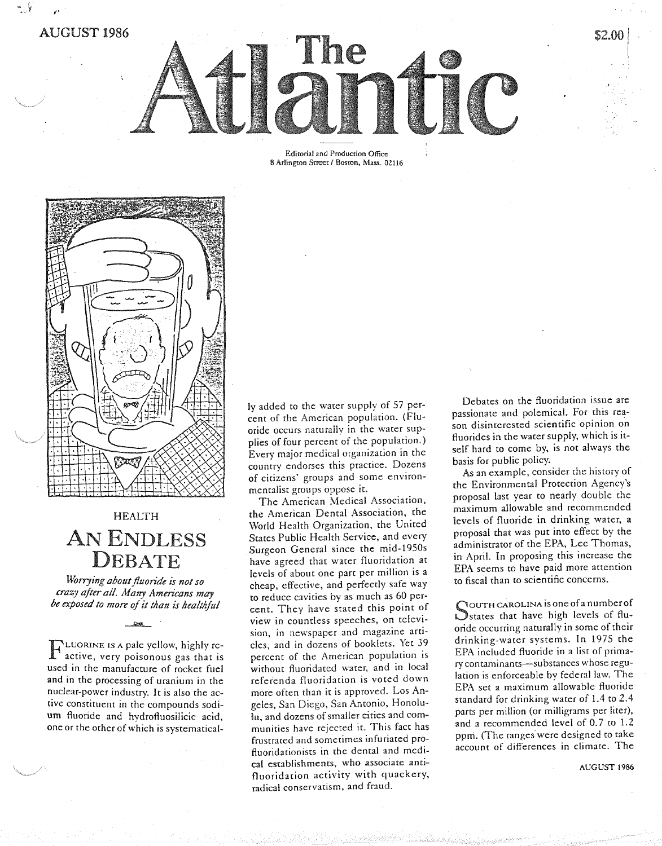AUGUST 1986

"

Editorial and Production Office B Arlington Street / Boston, Mass. 02116



## HEALTH AN ENDLESS DEBATE

*~rrying about fluoride is not so crazy after all. Many Americans may be exposed to mort of it than is healthful*

 $-88$ 

F LUORINE IS A pale yellow, highly reactive, very poisonous gas that is used in the manufacture of rocket fuel and in the processing of uranium in the nuclear-power industry. It is also the active constituent in the compounds sodium fluoride and hydroftuosiIicic acid, one or the other of which is systematicalIyadded to the water supply of 57 percent of the American population. (Fluoride occurs naturally in the water supplies of four percent of the population.) Every major medical organization in the country endorses this practice. Dozens of citizens' groups and some environmentalist groups oppose it.

The American Medical Association, the American Dental Association, the World Health Organization, the United States Public Health Service, and every Surgeon General since the mid-1950s have agreed that water fluoridation at levels of about one part per million is a cheap, effective, and perfectly safe way to reduce cavities by as much as 60 percent. They have stated this point of view in countless speeches, on television, in newspaper and magazine articles, and in dozens of booklets. Yet 39 percent of the American population is without fluoridated water, and in local referenda fluoridation is voted down more often than it is approved. Los Angeles, San Diego, San Antonio, Honolulu, and dozens of smaller cities and communities have rejected it. This fact has frustrated and sometimes infuriated profluoridationists in the dental and medical establishments, who associate antifluoridation activity with quackery, radical conservatism, and fraud.

Debates on the fluoridation issue are passionate and polemical. For this reason disinterested scientific opinion on fluorides in the water supply, which is itself hard to come by, is not always the basis for public policy.

\$2.00

As an example, consider the history of the Environmental Protection Agency's proposal last year to nearly double the maximum allowable and recommended levels of fluoride in drinking water, a proposal that was put into effect by the administrator of the EPA, Lee Thomas, in April. In proposing this increase the EPA seems to have paid more attention to fiscal than to scientific concerns.

SOUTH CAROLINA is one of a number of<br>States that have high levels of flu-States that have high levels of fluoride occurring naturally in some of their drinking-water systems. In 1975 the EPA included fluoride in a list of primary contaminants-substances whose regulation is enforceable by federal law. The EPA set a maximum allowable fluoride standard for drinking water of 1.4 to 2.4 parts per million (or milligrams per liter), and a recommended level of 0.7 to 1.2 ppm. (The ranges' were designed to take account of differences in climate. The

AUGUST 1986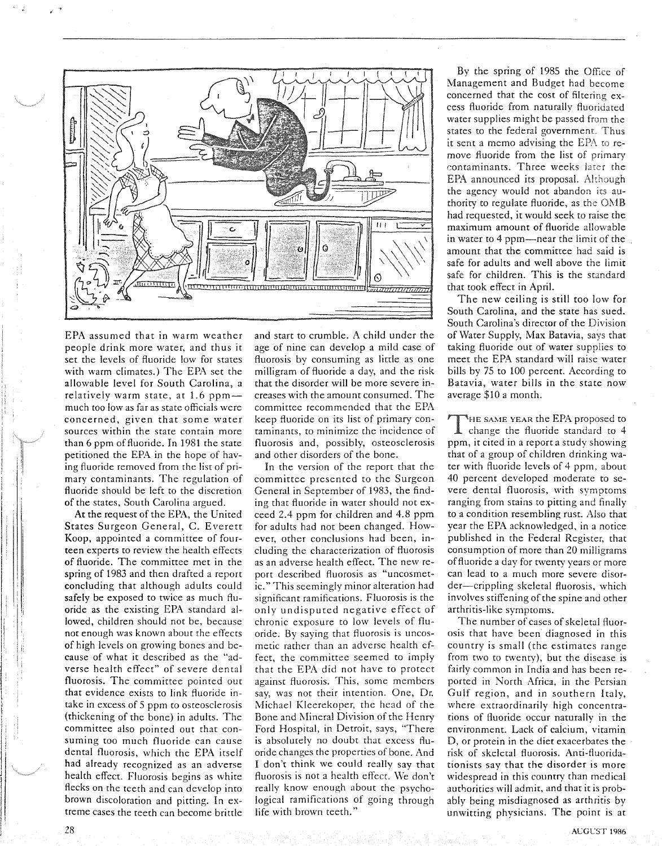

EPA assumed that in warm weather people drink more water, and thus it set the levels of fluoride low for states with warm climates.) The EPA set the allowable level for South Carolina, a relatively warm state, at 1.6 ppmmuch too low as far as state officials were concerned, given that some water sources within the state contain more than 6 ppm of fluoride. In 1981 the state petitioned the EPA in the hope of having fluoride removed from the list of primary contaminants. The regulation of fluoride should be left to the discretion of the states, South Carolina argued.

At the request of the EPA, the United States Surgeon General, C. Everett Koop, appointed a committee of fourteen experts to review the health effects of fluoride. The committee met in the spring of 1983 and then drafted a report concluding that although adults could safely be exposed to twice as much fluoride as the existing EPA standard allowed, children should not be, because not enough was known about the effects of high levels on growing bones and because of what it described as the "adverse health effect" of severe dental fluorosis. The committee pointed out that evidence exists to link fluoride intake in excess of 5 ppm to osteosclerosis (thickening of the bone) in adults. The committee also pointed out that consuming too much fluoride can cause dental fluorosis, which the EPA itself had already recognized as an adverse health effect. Fluorosis begins as white flecks on the teeth and can develop into brown discoloration and pitting. In extreme cases the teeth can become brittle

and start to crumble. A child under the age of nine can develop a mild case of fluorosis by consuming as little as one milligram of fluoride a day, and the risk that the disorder will be more severe increases with the amount consumed. The committee recommended that the EPA keep fluoride on its list of primary contaminants, to minimize the incidence of fluorosis and, possibly, osteosclerosis and other disorders of the bone.

In the version of the report that the committee presented to the Surgeon General in September of 1983, the finding that fluoride in water should not exceed 2.4 ppm for children and 4.8 ppm for adults had not been changed. However, other conclusions had been, including the characterization of fluorosis as an adverse health effect. The new report described fluorosis as "uncosmetic." This seemingly minor alteration had significant ramifications. Fluorosis is the only undisputed negative effect of chronic exposure to low levels of fluoride. By saying that fluorosis is uncosmetic rather than an adverse health effect, the committee seemed to imply that the EPA did not have to protect against fluorosis. This, some members say, was not their intention. One, Dr. Michael Kleerekoper, the head of the Bone and Mineral Division of the Henry Ford Hospital, in Detroit, says, "There is absolutely no doubt that excess fluoride changes the properties of bone. And I don't think we could really say that fluorosis is not a health effect. We don't really know enough about the psychological ramifications of going through life with brown teeth."

By the spring of 1985 the Office of Management and Budget had become concerned that the cost of filtering excess fluoride from naturally fluoridated water supplies might be passed from the states to the federal government. Thus it sent a memo advising the EPA to remove fluoride from the list of primary contaminants. Three weeks later the EPA announced its proposal. Although the agency would not abandon its authority to regulate fluoride, as the OMB had requested, it would seek to raise the maximum amount of fluoride allowable in water to 4 ppm—near the limit of the amount that the committee had said is safe for adults and well above the limit safe for children. This is the standard that took effect in April.

The new ceiling is still too low for South Carolina, and the state has sued. South Carolina's director of the Division of Water Supply, Max Batavia, says that taking fluoride out of water supplies to meet the EPA standard will raise water bills by 75 to 100 percent. According to Batavia, water bills in the state now average \$10 a month.

THE SAME YEAR the EPA proposed to<br>ppm, it cited in a report a study showing IHE SAME YEAR the EPA proposed to change the fluoride standard to 4 that of a group of children drinking water with fluoride levels of 4 ppm, about 40 percent developed moderate to severe dental fluorosis, with symptoms ranging from stains to pitting and finally to a condition resembling rust. Also that year the EPA acknowledged, in a notice published in the Federal Register, that consumption of more than 20 milligrams of fluoride a day for twenty years or more can lead to a much more severe disorder-crippling skeletal fluorosis, which involves stiffening of the spine and other arthritis-like symptoms.

The number of cases of skeletal fluorosis that have been diagnosed in this country is small (the estimates range from two to twenty), but the disease is fairly common in India and has been reported in North Africa, in the Persian Gulf region, and in southern Italy, where extraordinarily high concentrations of fluoride occur naturally in the environment. Lack of calcium, vitamin 0, or protein in the diet exacerbates the risk of skeletal fluorosis. Anti-fluoridationists say that the disorder is more widespread in this country than medical authorities will admit, and that it is probably being misdiagnosed as arthritis by unwitting physicians. The point is at

I I I. 11

i i I

I I I I Ii II IIIi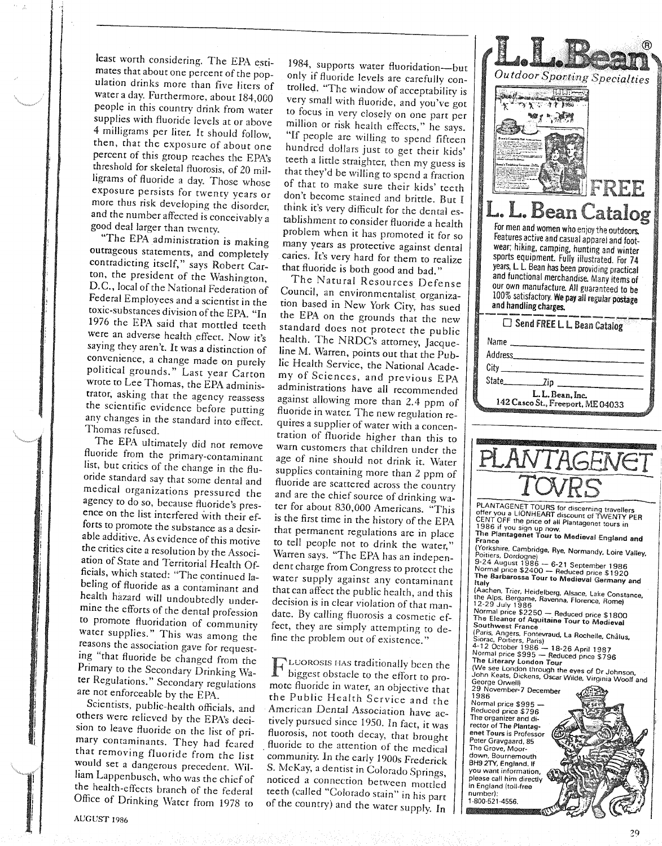least worrh considering. The EPA estimates that about one percent of the population drinks more than five liters of water a day. Furthermore, about 184,000 people in this country drink from water supplies with fluoride levels at or above 4 milligrams per liter. It should follow, then, that the exposure of about one percent of this group reaches the EPA's threshold for skeletal fluorosis, of 20 milligrams of fluoride a day. Those whose exposure persists for twenty years or more thus risk developing the disorder, and the number affected is conceivably a good deal larger than twenty.

, f

> "The EPA administration is making outrageous statements, and completely contradicting itself," says Robert Carton, the president of the Washington, D.C., local of the National Federation of Federal Employees and a scientist in the roxie-substances division of the EPA. "In 1976 the EPA said that mottled teeth were an adverse health effect. Now it's saying they aren't. It was a distinction of convenience, a change made on purely political grounds." Last year Carton wrote ro Lee Thomas, the EPA administraror, asking that the agency reassess the scientific evidence before putting any changes in the standard inro effect. Thomas refused.

The EPA ultimately did not remove fluoride from the primary-contaminant list, but critics of the change in the fluoride standard say that some dental and medical organizations pressured the agency ro do so, because fluoride's presence on the list interfered with their efforts ro promote the substance as a desirable additive. As evidence of this motive the critics cite a resolution by the Association of State and Terrirorial Health Officials, which stated: "The continued labeling of fluoride as a contaminant and health hazard will undoubtedly undermine the efforts of the dental profession to promote fluoridation of community water supplies." This was among the reasons the association gave for requesting "that fluoride be changed from the Primary to the Secondary Drinking Water Regulations." Secondary regulations are not enforceable by the EPA.

Scientists, public-health officials, and others were relieved by the EPA's decision to leave fluoride on the list of primary contaminants. They had feared that removing fluoride from the list would set a dangerous precedent. \Vil-Jiam Lappenbusch, who was the chief of the health-effects branch of the federal Office of Drinking Water from 1978 to

1984, supports water fluoridation-but only if fluoride levels are carefully controlled. "The window of acceptability is very small with fluoride, and you've got to focus in very closely on one parr per million or risk health effects," he says. "If people are willing to spend fifteen hundred dollars just to get their kids' teeth a little straighter, then my guess is that they'd be willing to spend a fraction of that to make sure their kids' teeth don't become stained and brittle. But I think it's very difficult for the dental establishment to consider fluoride a health problem when it has promoted it for so many years as protective against dental caries. It's very hard for them to realize that fluoride is both good and bad."

The Natural Resources Defense Council, an environmentalisr organization based in New York City, has sued rhe EPA on the grounds that the new standard does not protect the public health. The NRDC's attorney, Jacqueline M. Warren, points out that the Public Health Service, the National Academy of Sciences, and previous EPA administrations have all recommended against allowing more rhan 2.4 ppm of fluoride in water. The new regulation requires a supplier of water with a concentrarion of fluoride higher than this to warn customers that children under the age of nine should not drink ir. Water supplies containing more than 2 ppm of fluoride are scattered across rhe country and are the chief source of drinking warer for about 830,000 Americans. "This is the first time in the history of the EPA that permanent regulations are in place to tell people not to drink the water," Warren says. "The EPA has an independent charge from Congress to protect the water supply against any contaminant that can affecr the public health, and this decision is in clear violarion of rhar mandare. By calling fluorosis a cosmetic effect, they are simply attempting to define the problem our of existence."

T LUOROSIS HAS traditionally been the<br>T biggest obstacle to the effort to probiggest obstacle ro the efforr to promote fluoride in water, an objective that the Public Health Service and the American Dental Association have actively pursued since 1950. In fact, ir was fluorosis, not tooth decay, that brought fluoride to the attention of the medical community. In the early 1900s Frederick S. McKay, a demist in Colorado Springs, noriced a connection between mottled teeth (called "Colorado stain" in his parr of the country) and the water supply. In

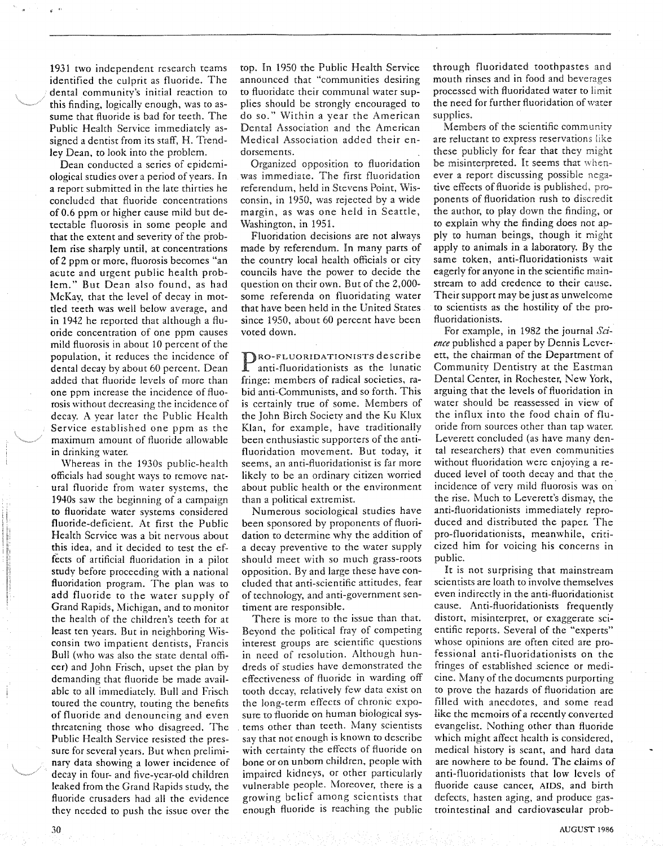1931 two independent research teams identified the culprit as fluoride. The dental community's initial reaction to this finding, logically enough, was to assume that fluoride is bad for teeth. The Public Health Service immediately assigned a dentist from its staff, H. Trendley Dean, to look into the problem.

Dean conducted a series of epidemiological studies over a period of years. In a report submitted in the late thirties he concluded that fluoride concentrations of 0.6 ppm or higher cause mild but detectable fluorosis in some people and that the extent and severity of the problem rise sharply until, at concentrations of2 ppm or more, fluorosis becomes "an acute and urgent public health problem." But Dean also found, as had McKay, that the level of decay in mottled teeth was well below average, and in 1942 he reported that although a fluoride concentration of one ppm causes mild fluorosis in about 10 percent of the population, it reduces the incidence of dental decay by about 60 percent. Dean added that fluoride levels of more than one ppm increase the incidence of fluorosis without decreasing the incidence of decay. A year later the Public Health Service established one ppm as the maximum amount of fluoride allowable in drinking water.

Whereas in the 1930s public-health officials had sought ways to remove natural fluoride from water systems, the 1940s saw the beginning of a campaign to fluoridate water systems considered fluoride-deficient. At first the Public Health Service was a bit nervous about this idea, and it decided to test the effects of artificial fluoridation in a pilot study before proceeding with a national fluoridation program. The plan was to add fluoride to the water supply of Grand Rapids, Michigan, and to monitor the health of the children's teeth for at least ten years. But in neighboring Wisconsin two impatient dentists, Francis Bull (who was also the srate dental officer) and John Frisch, upset the plan by demanding that fluoride be made available to all immediately. Bull and Frisch toured the country, touting the benefits of fluoride and denouncing and even threatening those who disagreed. The Public Health Service resisted the pressure for several years. But when preliminary data showing a lower incidence of decay in four- and five-year-old children leaked from the Grand Rapids study, the fluoride crusaders had all the evidence they needed to push the issue over the

top. In 1950 the Public Health Service announced that "communities desiring to fluoridate their communal water supplies should be strongly encouraged to do so." Within a year the American Dental Association and the American Medical Association added their endorsements.

Organized opposition to fluoridation was immediate. The first fluoridation referendum, held in Stevens Point, Wisconsin, in 1950, was rejected by a wide margin, as was one held in Seattle, Washington, in 1951.

Fluoridation decisions are not always made by referendum. In many parts of the country local health officials or city councils have the power to decide the question on their own. But of the 2,000some referenda on fluoridating water that have been held in the United States since 1950, about 60 percent have been voted down.

PRO-FLUORIDATIONISTS described anti-fluoridationists as the luna anti-fluoridationists as the lunatic fringe: members of radical societies, rabid anti-Communists, and so forth. This is certainly true of some. Members of the John Birch Society and the Ku Klux Klan, for example, have traditionally been enthusiastic supporters of the antifluoridation movement. But today, it seems, an anti-fluoridationist is far more likely to be an ordinary citizen worried about public health or the environment than a political extremist.

Numerous sociological studies have been sponsored by proponents of fluoridation to determine why the addition of a decay preventive to the water supply should meet with so much grass-roots opposition. By and large these have concluded that anti-scientific attitudes, fear of technology, and anti-government sentiment are responsible.

There is more to the issue than that. Beyond the political fray of competing interest groups are scientific questions in need of resolution. Although hundreds of studies have demonstrated the effectiveness of fluoride in warding off tooth decay, relatively few data exist on the long-term effects of chronic exposure to fluoride on human biological systems other than teeth. Many scientists say that not enough is known to describe with certainty the effects of fluoride on bone or on unborn children, people with impaired kidneys, or other particularly vulnerable people. Moreover, there is a growing belief among scientists that enough fluoride is reaching the public through fluoridated toothpastes and mouth rinses and in food and beverages processed with fluoridated water to limit the need for further fluoridation of water supplies.

Members of the scientific community are reluctant to express reservations like these publicly for fear that they might be misinterpreted. It seems that whenever a report discussing possible negative effects of fluoride is published. proponents of fluoridation rush to discredit the author, to play down the finding, or to explain why the finding does not apply to human beings, though it might apply to animals in a laboratory. By the same token, anti-f1uoridationists wait eagerly for anyone in the scientific mainstream to add credence to their cause. Their support may be just as unwelcome to scientists as the hostility of the pro-Ruoridationists.

For example, in 1982 the journal *Science* published a paper by Dennis Leverett, the chairman of the Department of Community Dentistry at the Eastman Dental Center, in Rochester, New York, arguing that the levels of fluoridation in water should be reassessed in view of the influx into the food chain of fluoride from sources other than tap water. Leverett concluded (as have many dental researchers) that even communities without fluoridation were enjoying a reduced level of tooth decay and that the incidence of very mild fluorosis was on' the rise. Much to Leverett's dismay, the anti-fluoridationists immediately reproduced and distributed the paper. The pro-fluoridationists, meanwhile, criticized him for voicing his concerns in public.

It is not surprising that mainstream scientists are loath to involve themselves even indirectly in the anti-Ruoridationist cause. Anti-fluoridationists frequently distort, misinterpret, or exaggerate scientific reports. Several of the "experts" whose opinions are often cited are professional anti-fluoridationists on the fringes of established science or medicine. Many of the documents purporting to prove the hazards of fluoridation are filled with anecdotes, and some read like the memoirs of a recently converted evangelist. Nothing other than fluoride which might affect health is considered, medical history is scant, and hard data are nowhere to be found. The claims of anti-fluoridationists that low levels of fluoride cause cancer, AIDS, and birth defects, hasten aging, and produce gastrointestinal and cardiovascular prob